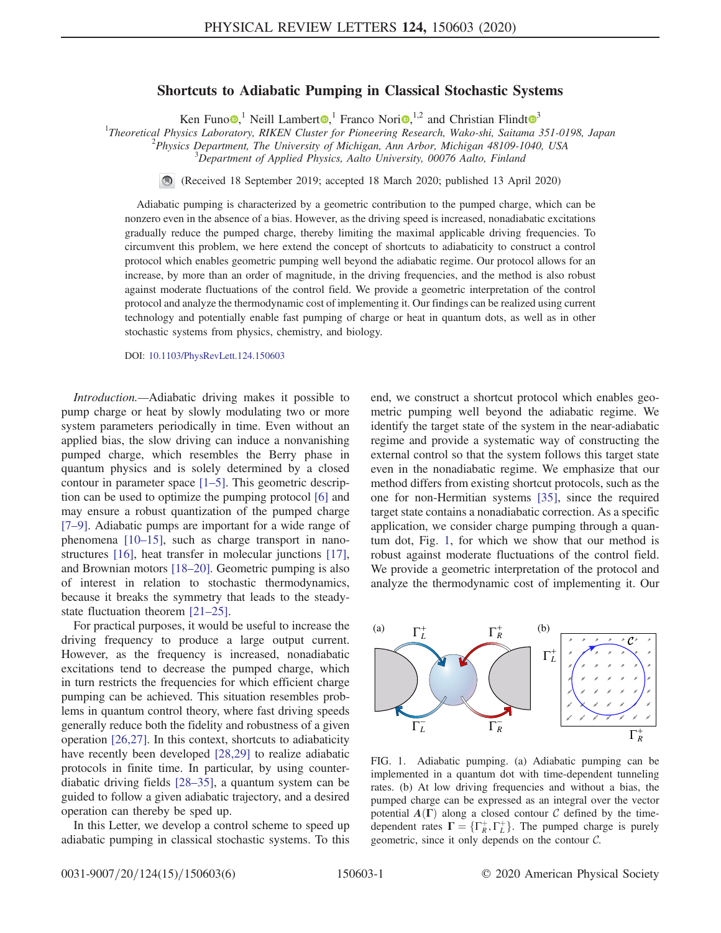## Shortcuts to Adiabatic Pumping in Classical Stochastic Systems

Ken Funo  $\bullet$ ,<sup>1</sup> Neill Lambert  $\bullet$ ,<sup>1</sup> Franco Nori $\bullet$ ,<sup>1,2</sup> and Christian Flindt  $\bullet$ <sup>[3](https://orcid.org/0000-0002-7223-8400)</sup>

<sup>1</sup>Theoretical Physics Laboratory, RIKEN Cluster for Pioneering Research, Wako-shi, Saitama 351-0198, Japan <sup>2</sup> Physics Department. The University of Michigan Ann Arbor, Michigan 48100, 1040, 1554

 $P<sup>2</sup> Physics Department, The University of Michigan, Ann Arbor, Michigan 48109-1040, USA$ 

<sup>3</sup>Department of Applied Physics, Aalto University, 00076 Aalto, Finland

(Received 18 September 2019; accepted 18 March 2020; published 13 April 2020)

Adiabatic pumping is characterized by a geometric contribution to the pumped charge, which can be nonzero even in the absence of a bias. However, as the driving speed is increased, nonadiabatic excitations gradually reduce the pumped charge, thereby limiting the maximal applicable driving frequencies. To circumvent this problem, we here extend the concept of shortcuts to adiabaticity to construct a control protocol which enables geometric pumping well beyond the adiabatic regime. Our protocol allows for an increase, by more than an order of magnitude, in the driving frequencies, and the method is also robust against moderate fluctuations of the control field. We provide a geometric interpretation of the control protocol and analyze the thermodynamic cost of implementing it. Our findings can be realized using current technology and potentially enable fast pumping of charge or heat in quantum dots, as well as in other stochastic systems from physics, chemistry, and biology.

DOI: [10.1103/PhysRevLett.124.150603](https://doi.org/10.1103/PhysRevLett.124.150603)

Introduction.—Adiabatic driving makes it possible to pump charge or heat by slowly modulating two or more system parameters periodically in time. Even without an applied bias, the slow driving can induce a nonvanishing pumped charge, which resembles the Berry phase in quantum physics and is solely determined by a closed contour in parameter space [1–[5\].](#page-4-0) This geometric description can be used to optimize the pumping protocol [\[6\]](#page-4-1) and may ensure a robust quantization of the pumped charge [\[7](#page-4-2)–9]. Adiabatic pumps are important for a wide range of phenomena [\[10](#page-4-3)–15], such as charge transport in nanostructures [\[16\],](#page-4-4) heat transfer in molecular junctions [\[17\]](#page-4-5), and Brownian motors [\[18](#page-4-6)–20]. Geometric pumping is also of interest in relation to stochastic thermodynamics, because it breaks the symmetry that leads to the steadystate fluctuation theorem [21–[25\].](#page-4-7)

For practical purposes, it would be useful to increase the driving frequency to produce a large output current. However, as the frequency is increased, nonadiabatic excitations tend to decrease the pumped charge, which in turn restricts the frequencies for which efficient charge pumping can be achieved. This situation resembles problems in quantum control theory, where fast driving speeds generally reduce both the fidelity and robustness of a given operation [\[26,27\].](#page-4-8) In this context, shortcuts to adiabaticity have recently been developed [\[28,29\]](#page-4-9) to realize adiabatic protocols in finite time. In particular, by using counterdiabatic driving fields [28–[35\],](#page-4-9) a quantum system can be guided to follow a given adiabatic trajectory, and a desired operation can thereby be sped up.

In this Letter, we develop a control scheme to speed up adiabatic pumping in classical stochastic systems. To this end, we construct a shortcut protocol which enables geometric pumping well beyond the adiabatic regime. We identify the target state of the system in the near-adiabatic regime and provide a systematic way of constructing the external control so that the system follows this target state even in the nonadiabatic regime. We emphasize that our method differs from existing shortcut protocols, such as the one for non-Hermitian systems [\[35\],](#page-5-0) since the required target state contains a nonadiabatic correction. As a specific application, we consider charge pumping through a quantum dot, Fig. [1](#page-0-0), for which we show that our method is robust against moderate fluctuations of the control field. We provide a geometric interpretation of the protocol and analyze the thermodynamic cost of implementing it. Our

<span id="page-0-0"></span>

FIG. 1. Adiabatic pumping. (a) Adiabatic pumping can be implemented in a quantum dot with time-dependent tunneling rates. (b) At low driving frequencies and without a bias, the pumped charge can be expressed as an integral over the vector potential  $A(\Gamma)$  along a closed contour C defined by the timedependent rates  $\Gamma = {\Gamma_{R}^{+}, \Gamma_{L}^{+}}$ . The pumped charge is purely geometric since it only depends on the contour  $\mathcal{C}$ geometric, since it only depends on the contour C.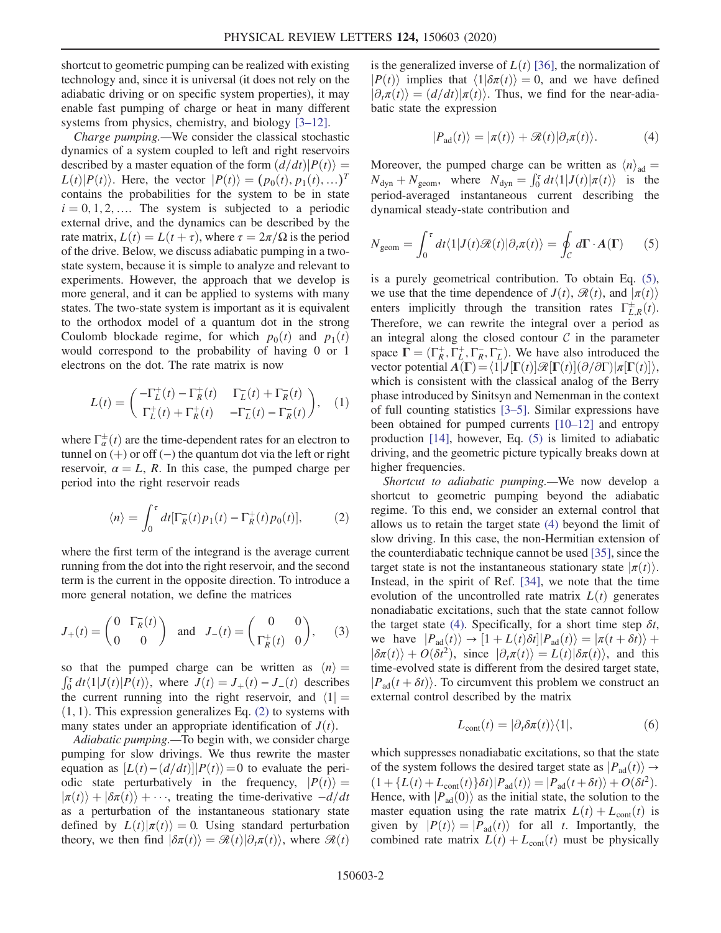shortcut to geometric pumping can be realized with existing technology and, since it is universal (it does not rely on the adiabatic driving or on specific system properties), it may enable fast pumping of charge or heat in many different systems from physics, chemistry, and biology [3–[12\]](#page-4-10).

Charge pumping.—We consider the classical stochastic dynamics of a system coupled to left and right reservoirs described by a master equation of the form  $\left(\frac{d}{dt}\right)P(t)$  =  $L(t)|P(t)\rangle$ . Here, the vector  $|P(t)\rangle = (p_0(t), p_1(t), \ldots)^T$ contains the probabilities for the system to be in state  $i = 0, 1, 2, \dots$  The system is subjected to a periodic external drive, and the dynamics can be described by the rate matrix,  $L(t) = L(t + \tau)$ , where  $\tau = 2\pi/\Omega$  is the period of the drive. Below, we discuss adiabatic pumping in a twostate system, because it is simple to analyze and relevant to experiments. However, the approach that we develop is more general, and it can be applied to systems with many states. The two-state system is important as it is equivalent to the orthodox model of a quantum dot in the strong Coulomb blockade regime, for which  $p_0(t)$  and  $p_1(t)$ would correspond to the probability of having 0 or 1 electrons on the dot. The rate matrix is now

<span id="page-1-4"></span>
$$
L(t) = \begin{pmatrix} -\Gamma_L^+(t) - \Gamma_R^+(t) & \Gamma_L^-(t) + \Gamma_R^-(t) \\ \Gamma_L^+(t) + \Gamma_R^+(t) & -\Gamma_L^-(t) - \Gamma_R^-(t) \end{pmatrix}, \quad (1)
$$

<span id="page-1-0"></span>where  $\Gamma_{\alpha}^{\pm}(t)$  are the time-dependent rates for an electron to tunnel on  $(+)$  or off  $(-)$  the quantum dot via the left or right tunnel on  $(+)$  or off  $(-)$  the quantum dot via the left or right reservoir,  $\alpha = L$ , R. In this case, the pumped charge per period into the right reservoir reads

$$
\langle n \rangle = \int_0^{\tau} dt [\Gamma_R^-(t) p_1(t) - \Gamma_R^+(t) p_0(t)], \tag{2}
$$

where the first term of the integrand is the average current running from the dot into the right reservoir, and the second term is the current in the opposite direction. To introduce a more general notation, we define the matrices

$$
J_+(t) = \begin{pmatrix} 0 & \Gamma_R^-(t) \\ 0 & 0 \end{pmatrix} \text{ and } J_-(t) = \begin{pmatrix} 0 & 0 \\ \Gamma_R^+(t) & 0 \end{pmatrix}, \quad (3)
$$

so that the pumped charge can be written as  $\langle n \rangle =$  $\int_0^{\tau} dt \langle 1 | J(t) | P(t) \rangle$ , where  $J(t) = J_+(t) - J_-(t)$  describes<br>the current running into the right reservoir and  $\langle 1 |$ the current running into the right reservoir, and  $\langle 1| =$  $(1, 1)$ . This expression generalizes Eq.  $(2)$  to systems with many states under an appropriate identification of  $J(t)$ .

Adiabatic pumping.—To begin with, we consider charge pumping for slow drivings. We thus rewrite the master equation as  $[L(t)-(d/dt)]|P(t)\rangle=0$  to evaluate the periodic state perturbatively in the frequency,  $|P(t)\rangle =$  $|\pi(t)\rangle + |\delta\pi(t)\rangle + \cdots$ , treating the time-derivative  $-d/dt$ as a perturbation of the instantaneous stationary state defined by  $L(t)|\pi(t)\rangle = 0$ . Using standard perturbation theory, we then find  $\langle \delta \pi(t) \rangle = \mathcal{R}(t) \langle \partial_t \pi(t) \rangle$ , where  $\mathcal{R}(t)$ 

<span id="page-1-2"></span>is the generalized inverse of  $L(t)$  [\[36\],](#page-5-1) the normalization of  $|P(t)\rangle$  implies that  $\langle 1|\delta \pi(t)\rangle = 0$ , and we have defined  $|\partial_t \pi(t)\rangle = (d/dt)|\pi(t)\rangle$ . Thus, we find for the near-adiabatic state the expression

$$
|P_{\rm ad}(t)\rangle = |\pi(t)\rangle + \mathcal{R}(t)|\partial_t \pi(t)\rangle.
$$
 (4)

Moreover, the pumped charge can be written as  $\langle n \rangle_{ad} =$  $N_{\text{dyn}} + N_{\text{geom}}$ , where  $N_{\text{dyn}} = \int_0^{\tau} dt \langle 1 | J(t) | \pi(t) \rangle$  is the negative system of the negative state of the negative state of the negative state of the negative state of the negative state of the negative state of the period-averaged instantaneous current describing the dynamical steady-state contribution and

<span id="page-1-1"></span>
$$
N_{\text{geom}} = \int_0^{\tau} dt \langle 1 | J(t) \mathcal{R}(t) | \partial_t \pi(t) \rangle = \oint_C d\mathbf{\Gamma} \cdot \mathbf{A}(\mathbf{\Gamma}) \qquad (5)
$$

is a purely geometrical contribution. To obtain Eq. [\(5\)](#page-1-1), we use that the time dependence of  $J(t)$ ,  $\mathcal{R}(t)$ , and  $|\pi(t)\rangle$ enters implicitly through the transition rates  $\Gamma_{L,R}^{\pm}(t)$ .<br>Therefore we can rewrite the integral over a period as Therefore, we can rewrite the integral over a period as an integral along the closed contour  $C$  in the parameter space  $\mathbf{\Gamma} = (\Gamma_{\mathcal{R}}^+, \Gamma_{\mathcal{L}}^+, \Gamma_{\mathcal{R}}^-, \Gamma_{\mathcal{L}}^-, \Gamma_{\mathcal{L}}^+)$ . We have also introduced the vector potential  $\mathbf{A}(\mathbf{\Gamma}) = (1 | I(\mathbf{\Gamma}(t)) \otimes [\mathbf{\Gamma}(t)] (\partial/\partial \mathbf{\Gamma}) | \pi[\mathbf{\Gamma}(t)])$ vector potential  $A(\Gamma) = \langle 1|J[\Gamma(t)]\mathcal{R}[\Gamma(t)](\partial/\partial\Gamma)|\pi[\Gamma(t)]\rangle$ , which is consistent with the classical analog of the Berry phase introduced by Sinitsyn and Nemenman in the context of full counting statistics [3–[5\].](#page-4-10) Similar expressions have been obtained for pumped currents [\[10](#page-4-3)–12] and entropy production [\[14\],](#page-4-11) however, Eq. [\(5\)](#page-1-1) is limited to adiabatic driving, and the geometric picture typically breaks down at higher frequencies.

Shortcut to adiabatic pumping.—We now develop a shortcut to geometric pumping beyond the adiabatic regime. To this end, we consider an external control that allows us to retain the target state [\(4\)](#page-1-2) beyond the limit of slow driving. In this case, the non-Hermitian extension of the counterdiabatic technique cannot be used [\[35\]](#page-5-0), since the target state is not the instantaneous stationary state  $|\pi(t)\rangle$ . Instead, in the spirit of Ref. [\[34\]](#page-5-2), we note that the time evolution of the uncontrolled rate matrix  $L(t)$  generates nonadiabatic excitations, such that the state cannot follow the target state [\(4\)](#page-1-2). Specifically, for a short time step  $\delta t$ , we have  $|P_{ad}(t)\rangle \rightarrow [1 + L(t)\delta t]|P_{ad}(t)\rangle = |\pi(t + \delta t)\rangle +$  $|\delta \pi(t)\rangle + O(\delta t^2)$ , since  $|\partial_t \pi(t)\rangle = L(t)|\delta \pi(t)\rangle$ , and this time-evolved state is different from the desired target state time-evolved state is different from the desired target state,  $|P_{\text{ad}}(t+\delta t)\rangle$ . To circumvent this problem we construct an external control described by the matrix

$$
L_{\text{cont}}(t) = |\partial_t \delta \pi(t) \rangle \langle 1|,\tag{6}
$$

<span id="page-1-3"></span>which suppresses nonadiabatic excitations, so that the state of the system follows the desired target state as  $|P_{ad}(t)\rangle \rightarrow$  $(1 + \{L(t) + L_{\text{cont}}(t)\}\delta t | P_{\text{ad}}(t)\rangle = |P_{\text{ad}}(t + \delta t)\rangle + O(\delta t^2).$ <br>Hence with  $|P_{\text{d}}(0)\rangle$  as the initial state, the solution to the Hence, with  $|P_{ad}(0)\rangle$  as the initial state, the solution to the master equation using the rate matrix  $L(t) + L_{cont}(t)$  is given by  $|P(t)\rangle = |P_{ad}(t)\rangle$  for all t. Importantly, the combined rate matrix  $L(t) + L_{cont}(t)$  must be physically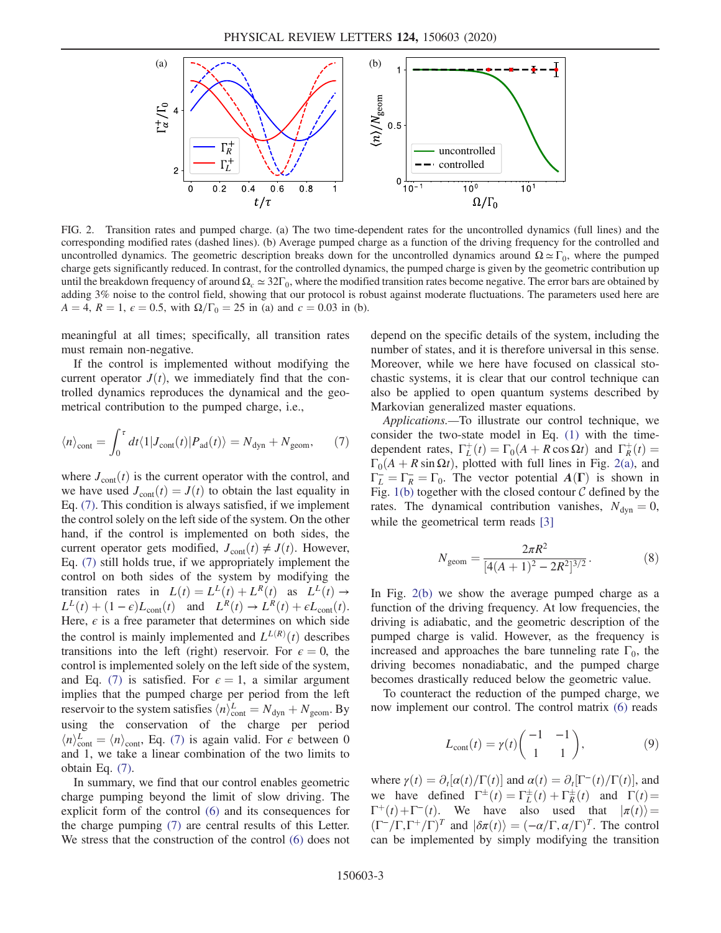<span id="page-2-1"></span>

FIG. 2. Transition rates and pumped charge. (a) The two time-dependent rates for the uncontrolled dynamics (full lines) and the corresponding modified rates (dashed lines). (b) Average pumped charge as a function of the driving frequency for the controlled and uncontrolled dynamics. The geometric description breaks down for the uncontrolled dynamics around  $\Omega \simeq \Gamma_0$ , where the pumped charge gets significantly reduced. In contrast, for the controlled dynamics, the pumped charge is given by the geometric contribution up until the breakdown frequency of around  $\Omega_c \approx 32\Gamma_0$ , where the modified transition rates become negative. The error bars are obtained by adding 3% noise to the control field, showing that our protocol is robust against moderate fluctuations. The parameters used here are  $A = 4$ ,  $R = 1$ ,  $\epsilon = 0.5$ , with  $\Omega/\Gamma_0 = 25$  in (a) and  $c = 0.03$  in (b).

meaningful at all times; specifically, all transition rates must remain non-negative.

If the control is implemented without modifying the current operator  $J(t)$ , we immediately find that the controlled dynamics reproduces the dynamical and the geometrical contribution to the pumped charge, i.e.,

<span id="page-2-0"></span>
$$
\langle n \rangle_{\text{cont}} = \int_0^{\tau} dt \langle 1 | J_{\text{cont}}(t) | P_{\text{ad}}(t) \rangle = N_{\text{dyn}} + N_{\text{geom}}, \tag{7}
$$

where  $J_{\text{cont}}(t)$  is the current operator with the control, and we have used  $J_{\text{cont}}(t) = J(t)$  to obtain the last equality in Eq. [\(7\).](#page-2-0) This condition is always satisfied, if we implement the control solely on the left side of the system. On the other hand, if the control is implemented on both sides, the current operator gets modified,  $J_{\text{cont}}(t) \neq J(t)$ . However, Eq. [\(7\)](#page-2-0) still holds true, if we appropriately implement the control on both sides of the system by modifying the transition rates in  $L(t) = L^L(t) + L^R(t)$  as  $L^L(t) \rightarrow$  $L^{L}(t) + (1 - \epsilon)L_{\text{cont}}(t)$  and  $L^{R}(t) \rightarrow L^{R}(t) + \epsilon L_{\text{cont}}(t)$ . Here,  $\epsilon$  is a free parameter that determines on which side the control is mainly implemented and  $L^{L(R)}(t)$  describes<br>transitions into the left (right) reservoir. For  $\epsilon = 0$ , the transitions into the left (right) reservoir. For  $\epsilon = 0$ , the control is implemented solely on the left side of the system, and Eq. [\(7\)](#page-2-0) is satisfied. For  $\epsilon = 1$ , a similar argument implies that the pumped charge per period from the left reservoir to the system satisfies  $\langle n \rangle_{\text{cont}}^L = N_{\text{dyn}} + N_{\text{geom}}$ . By using the conservation of the charge per period  $\langle n \rangle_{\text{cont}}^L = \langle n \rangle_{\text{cont}}$ , Eq. [\(7\)](#page-2-0) is again valid. For  $\epsilon$  between 0 and 1 we take a linear combination of the two limits to and 1, we take a linear combination of the two limits to obtain Eq. [\(7\).](#page-2-0)

In summary, we find that our control enables geometric charge pumping beyond the limit of slow driving. The explicit form of the control [\(6\)](#page-1-3) and its consequences for the charge pumping [\(7\)](#page-2-0) are central results of this Letter. We stress that the construction of the control [\(6\)](#page-1-3) does not depend on the specific details of the system, including the number of states, and it is therefore universal in this sense. Moreover, while we here have focused on classical stochastic systems, it is clear that our control technique can also be applied to open quantum systems described by Markovian generalized master equations.

Applications.—To illustrate our control technique, we consider the two-state model in Eq. [\(1\)](#page-1-4) with the timedependent rates,  $\Gamma_L^+(t) = \Gamma_0(A + R \cos \Omega t)$  and  $\Gamma_R^+(t) = \Gamma_0(A + R \sin \Omega t)$  plotted with full lines in Fig. 2(a) and  $\Gamma_0(A + R \sin \Omega t)$ , plotted with full lines in Fig. [2\(a\)](#page-2-1), and  $\Gamma_L^- = \Gamma_R^- = \Gamma_0$ . The vector potential  $A(\Gamma)$  is shown in Fig. 1(b) together with the closed contour C defined by the Fig. [1\(b\)](#page-0-0) together with the closed contour  $C$  defined by the rates. The dynamical contribution vanishes,  $N_{\text{dyn}} = 0$ , while the geometrical term reads [\[3\]](#page-4-10)

$$
N_{\text{geom}} = \frac{2\pi R^2}{[4(A+1)^2 - 2R^2]^{3/2}}.\tag{8}
$$

In Fig. [2\(b\)](#page-2-1) we show the average pumped charge as a function of the driving frequency. At low frequencies, the driving is adiabatic, and the geometric description of the pumped charge is valid. However, as the frequency is increased and approaches the bare tunneling rate  $\Gamma_0$ , the driving becomes nonadiabatic, and the pumped charge becomes drastically reduced below the geometric value.

To counteract the reduction of the pumped charge, we now implement our control. The control matrix [\(6\)](#page-1-3) reads

$$
L_{\text{cont}}(t) = \gamma(t) \begin{pmatrix} -1 & -1 \\ 1 & 1 \end{pmatrix}, \tag{9}
$$

where  $\gamma(t) = \partial_t[\alpha(t)/\Gamma(t)]$  and  $\alpha(t) = \partial_t[\Gamma^-(t)/\Gamma(t)]$ , and we have defined  $\Gamma^{\pm}(t) = \Gamma^{\pm}_{L}(t) + \Gamma^{\pm}_{R}(t)$  and  $\Gamma(t) = \Gamma^{\pm}(t) + \Gamma^{\pm}(t)$  We have also used that  $|\pi(t)| =$  $\Gamma^+(t) + \Gamma^-(t)$ . We have also used that  $|\pi(t)\rangle =$  $(\Gamma^{-}/\Gamma,\Gamma^{+}/\Gamma)^{T}$  and  $|\delta \pi(t)\rangle = (-\alpha/\Gamma,\alpha/\Gamma)^{T}$ . The control can be implemented by simply modifying the transition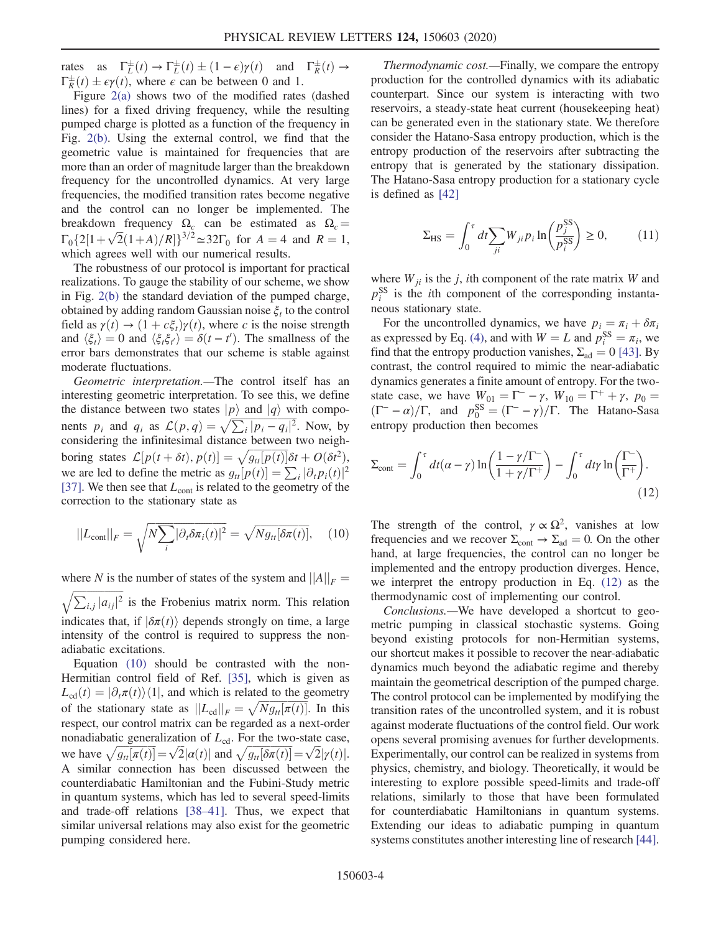rates as  $\Gamma_{\overline{L}}^{\pm}(t) \to \Gamma_{\overline{L}}^{\pm}(t) \pm (1 - \epsilon) \gamma(t)$  and  $\Gamma_{\overline{R}}^{\pm}(t) \to \Gamma_{\overline{R}}^{\pm}(t) + c\gamma(t)$  where c can be between 0 and 1  $\Gamma_R^{\pm}(t) \pm \epsilon \gamma(t)$ , where  $\epsilon$  can be between 0 and 1.<br>Figure 2(a) shows two of the modified rates

Figure [2\(a\)](#page-2-1) shows two of the modified rates (dashed lines) for a fixed driving frequency, while the resulting pumped charge is plotted as a function of the frequency in Fig. [2\(b\)](#page-2-1). Using the external control, we find that the geometric value is maintained for frequencies that are more than an order of magnitude larger than the breakdown frequency for the uncontrolled dynamics. At very large frequencies, the modified transition rates become negative and the control can no longer be implemented. The breakdown frequency  $\Omega_c$  can be estimated as  $\Omega_c =$  $\Gamma_0\{2[1+\sqrt{2}(1+A)/R]\}^{3/2} \simeq 32\Gamma_0$  for  $A = 4$  and  $R = 1$ , which agrees well with our numerical results which agrees well with our numerical results.

The robustness of our protocol is important for practical realizations. To gauge the stability of our scheme, we show in Fig. [2\(b\)](#page-2-1) the standard deviation of the pumped charge, obtained by adding random Gaussian noise  $\xi_t$  to the control field as  $\gamma(t) \rightarrow (1 + c \xi_t) \gamma(t)$ , where c is the noise strength and  $\langle \xi_t \rangle = 0$  and  $\langle \xi_t \xi_{t'} \rangle = \delta(t - t')$ . The smallness of the error hars demonstrates that our scheme is stable against error bars demonstrates that our scheme is stable against moderate fluctuations.

Geometric interpretation.—The control itself has an interesting geometric interpretation. To see this, we define the distance between two states  $|p\rangle$  and  $|q\rangle$  with components  $p_i$  and  $q_i$  as  $\mathcal{L}(p,q) = \sqrt{\sum_i |p_i - q_i|^2}$ . Now, by considering the infinitesimal distance between two neighconsidering the infinitesimal distance between two neighboring states  $\mathcal{L}[p(t+\delta t), p(t)] = \sqrt{g_{tt}[p(t)]} \delta t + O(\delta t^2),$ <br>we are led to define the metric as  $g_{tt}[p(t)] = \sum_{k=0}^{n} |\partial_{k} p_{k}(t)|^2$ we are led to define the metric as  $g_{tt}[p(t)] = \sum_i |\partial_t p_i(t)|^2$ [\[37\]](#page-5-3). We then see that  $L_{\text{cont}}$  is related to the geometry of the correction to the stationary state as

<span id="page-3-0"></span>
$$
||L_{\text{cont}}||_F = \sqrt{N \sum_i |\partial_t \delta \pi_i(t)|^2} = \sqrt{N g_{tt}[\delta \pi(t)],} \quad (10)
$$

where N is the number of states of the system and  $||A||_F = \sqrt{\sum_{k=1}^{\infty} |a_{k}|^2}$  is the Frobenius matrix norm. This relation  $\sqrt{\sum_{i,j} |a_{ij}|^2}$  is the Frobenius matrix norm. This relation indicates that, if  $\left|\delta\pi(t)\right\rangle$  depends strongly on time, a large intensity of the control is required to suppress the nonadiabatic excitations.

Equation [\(10\)](#page-3-0) should be contrasted with the non-Hermitian control field of Ref. [\[35\],](#page-5-0) which is given as  $L_{cd}(t) = |\partial_t \pi(t)\rangle\langle 1|$ , and which is related to the geometry of the stationary state as  $||L_{cd}||_F = \sqrt{Ng_{tt}[\pi(t)]}$ . In this respect our control matrix can be regarded as a next-order respect, our control matrix can be regarded as a next-order nonadiabatic generalization of  $L_{cd}$ . For the two-state case, we have  $\sqrt{g_{tt}[\pi(t)]} = \sqrt{2} |\alpha(t)|$  and  $\sqrt{g_{tt}[\delta \pi(t)]} = \sqrt{2} |\gamma(t)|$ .<br>A similar connection has been discussed between the A similar connection has been discussed between the counterdiabatic Hamiltonian and the Fubini-Study metric in quantum systems, which has led to several speed-limits and trade-off relations [38–[41\].](#page-5-4) Thus, we expect that similar universal relations may also exist for the geometric pumping considered here.

Thermodynamic cost.—Finally, we compare the entropy production for the controlled dynamics with its adiabatic counterpart. Since our system is interacting with two reservoirs, a steady-state heat current (housekeeping heat) can be generated even in the stationary state. We therefore consider the Hatano-Sasa entropy production, which is the entropy production of the reservoirs after subtracting the entropy that is generated by the stationary dissipation. The Hatano-Sasa entropy production for a stationary cycle is defined as [\[42\]](#page-5-5)

$$
\Sigma_{\rm HS} = \int_0^{\tau} dt \sum_{ji} W_{ji} p_i \ln \left( \frac{p_j^{\rm SS}}{p_i^{\rm SS}} \right) \ge 0, \tag{11}
$$

where  $W_{ji}$  is the j, ith component of the rate matrix W and  $p_i^{\rm SS}$  is the *i*th component of the corresponding instantaneous stationary state.

For the uncontrolled dynamics, we have  $p_i = \pi_i + \delta \pi_i$ as expressed by Eq. [\(4\)](#page-1-2), and with  $W = L$  and  $p_i^{SS} = \pi_i$ , we find that the entropy production vanishes  $\Sigma_{i,j} = 0.1431$  By find that the entropy production vanishes,  $\Sigma_{ad} = 0$  [\[43\].](#page-5-6) By contrast, the control required to mimic the near-adiabatic dynamics generates a finite amount of entropy. For the twostate case, we have  $W_{01} = \Gamma^- - \gamma$ ,  $W_{10} = \Gamma^+ + \gamma$ ,  $p_0 =$ <br> $(\Gamma^- - \alpha)/\Gamma$  and  $p^{SS} - (\Gamma^- - \gamma)/\Gamma$ . The Hatano-Sasa  $(\Gamma^- - \alpha)/\Gamma$ , and  $p_0^{\text{SS}} = (\Gamma^- - \gamma)/\Gamma$ . The Hatano-Sasa entropy production then becomes

<span id="page-3-1"></span>
$$
\Sigma_{\text{cont}} = \int_0^{\tau} dt (\alpha - \gamma) \ln \left( \frac{1 - \gamma/\Gamma^{-}}{1 + \gamma/\Gamma^{+}} \right) - \int_0^{\tau} dt \gamma \ln \left( \frac{\Gamma^{-}}{\Gamma^{+}} \right). \tag{12}
$$

The strength of the control,  $\gamma \propto \Omega^2$ , vanishes at low frequencies and we recover  $\Sigma_{\text{cont}} \rightarrow \Sigma_{\text{ad}} = 0$ . On the other hand, at large frequencies, the control can no longer be implemented and the entropy production diverges. Hence, we interpret the entropy production in Eq. [\(12\)](#page-3-1) as the thermodynamic cost of implementing our control.

Conclusions.—We have developed a shortcut to geometric pumping in classical stochastic systems. Going beyond existing protocols for non-Hermitian systems, our shortcut makes it possible to recover the near-adiabatic dynamics much beyond the adiabatic regime and thereby maintain the geometrical description of the pumped charge. The control protocol can be implemented by modifying the transition rates of the uncontrolled system, and it is robust against moderate fluctuations of the control field. Our work opens several promising avenues for further developments. Experimentally, our control can be realized in systems from physics, chemistry, and biology. Theoretically, it would be interesting to explore possible speed-limits and trade-off relations, similarly to those that have been formulated for counterdiabatic Hamiltonians in quantum systems. Extending our ideas to adiabatic pumping in quantum systems constitutes another interesting line of research [\[44\]](#page-5-7).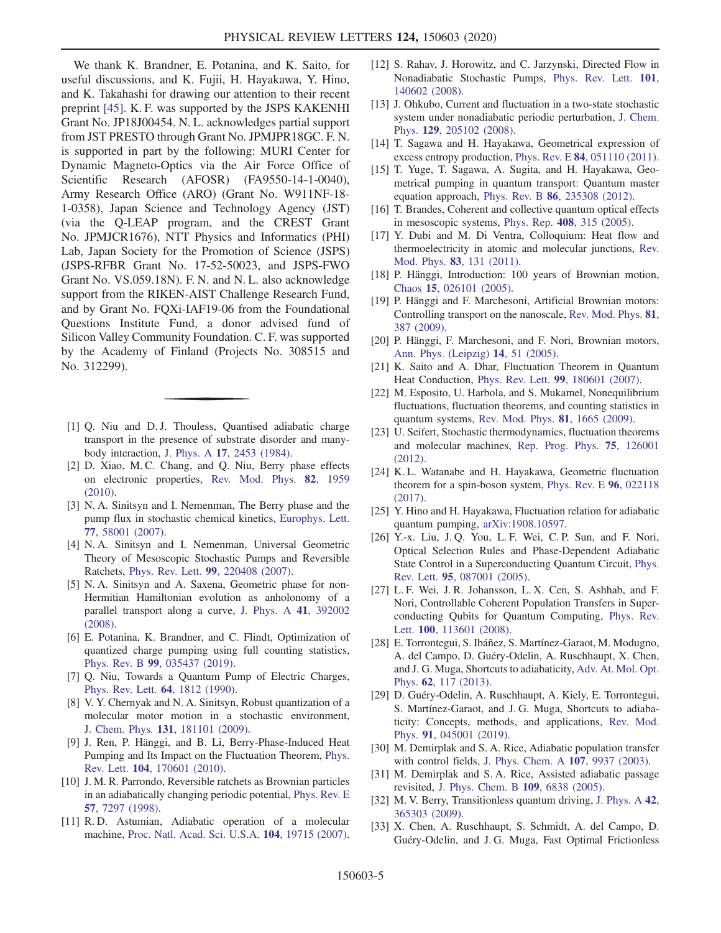We thank K. Brandner, E. Potanina, and K. Saito, for useful discussions, and K. Fujii, H. Hayakawa, Y. Hino, and K. Takahashi for drawing our attention to their recent preprint [\[45\].](#page-5-8) K. F. was supported by the JSPS KAKENHI Grant No. JP18J00454. N. L. acknowledges partial support from JST PRESTO through Grant No. JPMJPR18GC. F. N. is supported in part by the following: MURI Center for Dynamic Magneto-Optics via the Air Force Office of Scientific Research (AFOSR) (FA9550-14-1-0040), Army Research Office (ARO) (Grant No. W911NF-18- 1-0358), Japan Science and Technology Agency (JST) (via the Q-LEAP program, and the CREST Grant No. JPMJCR1676), NTT Physics and Informatics (PHI) Lab, Japan Society for the Promotion of Science (JSPS) (JSPS-RFBR Grant No. 17-52-50023, and JSPS-FWO Grant No. VS.059.18N). F. N. and N. L. also acknowledge support from the RIKEN-AIST Challenge Research Fund, and by Grant No. FQXi-IAF19-06 from the Foundational Questions Institute Fund, a donor advised fund of Silicon Valley Community Foundation. C. F. was supported by the Academy of Finland (Projects No. 308515 and No. 312299).

- <span id="page-4-0"></span>[1] Q. Niu and D. J. Thouless, Quantised adiabatic charge transport in the presence of substrate disorder and manybody interaction, J. Phys. A 17[, 2453 \(1984\)](https://doi.org/10.1088/0305-4470/17/12/016).
- <span id="page-4-10"></span>[2] D. Xiao, M. C. Chang, and Q. Niu, Berry phase effects on electronic properties, [Rev. Mod. Phys.](https://doi.org/10.1103/RevModPhys.82.1959) 82, 1959 [\(2010\).](https://doi.org/10.1103/RevModPhys.82.1959)
- [3] N. A. Sinitsyn and I. Nemenman, The Berry phase and the pump flux in stochastic chemical kinetics, [Europhys. Lett.](https://doi.org/10.1209/0295-5075/77/58001) 77[, 58001 \(2007\)](https://doi.org/10.1209/0295-5075/77/58001).
- [4] N. A. Sinitsyn and I. Nemenman, Universal Geometric Theory of Mesoscopic Stochastic Pumps and Reversible Ratchets, Phys. Rev. Lett. 99[, 220408 \(2007\)](https://doi.org/10.1103/PhysRevLett.99.220408).
- <span id="page-4-1"></span>[5] N. A. Sinitsyn and A. Saxena, Geometric phase for non-Hermitian Hamiltonian evolution as anholonomy of a parallel transport along a curve, [J. Phys. A](https://doi.org/10.1088/1751-8113/41/39/392002) 41, 392002 [\(2008\).](https://doi.org/10.1088/1751-8113/41/39/392002)
- <span id="page-4-2"></span>[6] E. Potanina, K. Brandner, and C. Flindt, Optimization of quantized charge pumping using full counting statistics, Phys. Rev. B 99[, 035437 \(2019\).](https://doi.org/10.1103/PhysRevB.99.035437)
- [7] Q. Niu, Towards a Quantum Pump of Electric Charges, [Phys. Rev. Lett.](https://doi.org/10.1103/PhysRevLett.64.1812) 64, 1812 (1990).
- [8] V. Y. Chernyak and N. A. Sinitsyn, Robust quantization of a molecular motor motion in a stochastic environment, J. Chem. Phys. 131[, 181101 \(2009\).](https://doi.org/10.1063/1.3263821)
- <span id="page-4-3"></span>[9] J. Ren, P. Hänggi, and B. Li, Berry-Phase-Induced Heat Pumping and Its Impact on the Fluctuation Theorem, [Phys.](https://doi.org/10.1103/PhysRevLett.104.170601) Rev. Lett. 104[, 170601 \(2010\).](https://doi.org/10.1103/PhysRevLett.104.170601)
- [10] J. M. R. Parrondo, Reversible ratchets as Brownian particles in an adiabatically changing periodic potential, [Phys. Rev. E](https://doi.org/10.1103/PhysRevE.57.7297) 57[, 7297 \(1998\)](https://doi.org/10.1103/PhysRevE.57.7297).
- [11] R. D. Astumian, Adiabatic operation of a molecular machine, [Proc. Natl. Acad. Sci. U.S.A.](https://doi.org/10.1073/pnas.0708040104) 104, 19715 (2007).
- [12] S. Rahav, J. Horowitz, and C. Jarzynski, Directed Flow in Nonadiabatic Stochastic Pumps, [Phys. Rev. Lett.](https://doi.org/10.1103/PhysRevLett.101.140602) 101, [140602 \(2008\).](https://doi.org/10.1103/PhysRevLett.101.140602)
- [13] J. Ohkubo, Current and fluctuation in a two-state stochastic system under nonadiabatic periodic perturbation, [J. Chem.](https://doi.org/10.1063/1.3026510) Phys. 129[, 205102 \(2008\).](https://doi.org/10.1063/1.3026510)
- <span id="page-4-11"></span>[14] T. Sagawa and H. Hayakawa, Geometrical expression of excess entropy production, Phys. Rev. E 84[, 051110 \(2011\).](https://doi.org/10.1103/PhysRevE.84.051110)
- [15] T. Yuge, T. Sagawa, A. Sugita, and H. Hayakawa, Geometrical pumping in quantum transport: Quantum master equation approach, Phys. Rev. B 86[, 235308 \(2012\)](https://doi.org/10.1103/PhysRevB.86.235308).
- <span id="page-4-4"></span>[16] T. Brandes, Coherent and collective quantum optical effects in mesoscopic systems, Phys. Rep. 408[, 315 \(2005\)](https://doi.org/10.1016/j.physrep.2004.12.002).
- <span id="page-4-5"></span>[17] Y. Dubi and M. Di Ventra, Colloquium: Heat flow and thermoelectricity in atomic and molecular junctions, [Rev.](https://doi.org/10.1103/RevModPhys.83.131) Mod. Phys. 83[, 131 \(2011\)](https://doi.org/10.1103/RevModPhys.83.131).
- <span id="page-4-6"></span>[18] P. Hänggi, Introduction: 100 years of Brownian motion, Chaos 15[, 026101 \(2005\).](https://doi.org/10.1063/1.1895505)
- [19] P. Hänggi and F. Marchesoni, Artificial Brownian motors: Controlling transport on the nanoscale, [Rev. Mod. Phys.](https://doi.org/10.1103/RevModPhys.81.387) 81, [387 \(2009\)](https://doi.org/10.1103/RevModPhys.81.387).
- [20] P. Hänggi, F. Marchesoni, and F. Nori, Brownian motors, [Ann. Phys. \(Leipzig\)](https://doi.org/10.1002/andp.200410121) 14, 51 (2005).
- <span id="page-4-7"></span>[21] K. Saito and A. Dhar, Fluctuation Theorem in Quantum Heat Conduction, Phys. Rev. Lett. 99[, 180601 \(2007\)](https://doi.org/10.1103/PhysRevLett.99.180601).
- [22] M. Esposito, U. Harbola, and S. Mukamel, Nonequilibrium fluctuations, fluctuation theorems, and counting statistics in quantum systems, [Rev. Mod. Phys.](https://doi.org/10.1103/RevModPhys.81.1665) 81, 1665 (2009).
- [23] U. Seifert, Stochastic thermodynamics, fluctuation theorems and molecular machines, [Rep. Prog. Phys.](https://doi.org/10.1088/0034-4885/75/12/126001) 75, 126001 [\(2012\).](https://doi.org/10.1088/0034-4885/75/12/126001)
- [24] K. L. Watanabe and H. Hayakawa, Geometric fluctuation theorem for a spin-boson system, [Phys. Rev. E](https://doi.org/10.1103/PhysRevE.96.022118) 96, 022118 [\(2017\).](https://doi.org/10.1103/PhysRevE.96.022118)
- [25] Y. Hino and H. Hayakawa, Fluctuation relation for adiabatic quantum pumping, [arXiv:1908.10597.](https://arXiv.org/abs/1908.10597)
- <span id="page-4-8"></span>[26] Y.-x. Liu, J. Q. You, L. F. Wei, C. P. Sun, and F. Nori, Optical Selection Rules and Phase-Dependent Adiabatic State Control in a Superconducting Quantum Circuit, [Phys.](https://doi.org/10.1103/PhysRevLett.95.087001) Rev. Lett. 95[, 087001 \(2005\).](https://doi.org/10.1103/PhysRevLett.95.087001)
- [27] L. F. Wei, J. R. Johansson, L. X. Cen, S. Ashhab, and F. Nori, Controllable Coherent Population Transfers in Superconducting Qubits for Quantum Computing, [Phys. Rev.](https://doi.org/10.1103/PhysRevLett.100.113601) Lett. 100[, 113601 \(2008\)](https://doi.org/10.1103/PhysRevLett.100.113601).
- <span id="page-4-9"></span>[28] E. Torrontegui, S. Ibáñez, S. Martínez-Garaot, M. Modugno, A. del Campo, D. Guéry-Odelin, A. Ruschhaupt, X. Chen, and J. G. Muga, Shortcuts to adiabaticity, [Adv. At. Mol. Opt.](https://doi.org/10.1016/B978-0-12-408090-4.00002-5) Phys. 62[, 117 \(2013\)](https://doi.org/10.1016/B978-0-12-408090-4.00002-5).
- [29] D. Guéry-Odelin, A. Ruschhaupt, A. Kiely, E. Torrontegui, S. Martínez-Garaot, and J. G. Muga, Shortcuts to adiabaticity: Concepts, methods, and applications, [Rev. Mod.](https://doi.org/10.1103/RevModPhys.91.045001) Phys. 91[, 045001 \(2019\)](https://doi.org/10.1103/RevModPhys.91.045001).
- [30] M. Demirplak and S. A. Rice, Adiabatic population transfer with control fields, [J. Phys. Chem. A](https://doi.org/10.1021/jp030708a) 107, 9937 (2003).
- [31] M. Demirplak and S. A. Rice, Assisted adiabatic passage revisited, [J. Phys. Chem. B](https://doi.org/10.1021/jp040647w) 109, 6838 (2005).
- [32] M. V. Berry, Transitionless quantum driving, [J. Phys. A](https://doi.org/10.1088/1751-8113/42/36/365303) 42, [365303 \(2009\).](https://doi.org/10.1088/1751-8113/42/36/365303)
- [33] X. Chen, A. Ruschhaupt, S. Schmidt, A. del Campo, D. Guéry-Odelin, and J. G. Muga, Fast Optimal Frictionless